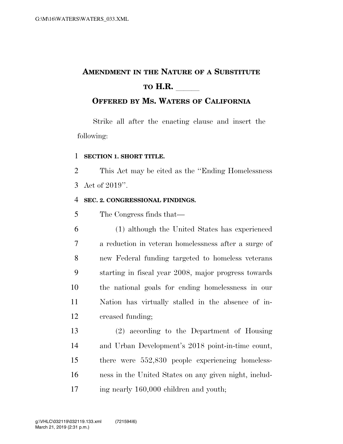# **AMENDMENT IN THE NATURE OF A SUBSTITUTE TO H.R.**

# **OFFERED BY MS. WATERS OF CALIFORNIA**

Strike all after the enacting clause and insert the following:

### **SECTION 1. SHORT TITLE.**

 This Act may be cited as the ''Ending Homelessness Act of 2019''.

## **SEC. 2. CONGRESSIONAL FINDINGS.**

The Congress finds that—

 (1) although the United States has experienced a reduction in veteran homelessness after a surge of new Federal funding targeted to homeless veterans starting in fiscal year 2008, major progress towards the national goals for ending homelessness in our Nation has virtually stalled in the absence of in-creased funding;

 (2) according to the Department of Housing and Urban Development's 2018 point-in-time count, there were 552,830 people experiencing homeless- ness in the United States on any given night, includ-ing nearly 160,000 children and youth;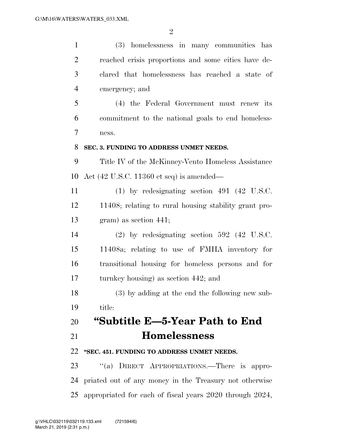| $\mathbf{1}$   | (3) homelessness in many communities has                    |
|----------------|-------------------------------------------------------------|
| $\overline{2}$ | reached crisis proportions and some cities have de-         |
| 3              | clared that homelessness has reached a state of             |
| $\overline{4}$ | emergency; and                                              |
| 5              | (4) the Federal Government must renew its                   |
| 6              | commitment to the national goals to end homeless-           |
| 7              | ness.                                                       |
| 8              | SEC. 3. FUNDING TO ADDRESS UNMET NEEDS.                     |
| 9              | Title IV of the McKinney-Vento Homeless Assistance          |
| 10             | Act $(42 \text{ U.S.C. } 11360 \text{ et seq})$ is amended— |
| 11             | $(1)$ by redesignating section 491 $(42 \text{ U.S.C.})$    |
| 12             | 11408; relating to rural housing stability grant pro-       |
| 13             | gram) as section 441;                                       |
| 14             | $(2)$ by redesignating section 592 $(42 \text{ U.S.C.})$    |
| 15             | 11408a; relating to use of FMHA inventory for               |
| 16             | transitional housing for homeless persons and for           |
| 17             | turnkey housing) as section 442; and                        |
| 18             | (3) by adding at the end the following new sub-             |
| 19             | title:                                                      |
| 20             | "Subtitle E—5-Year Path to End                              |
| 21             | <b>Homelessness</b>                                         |
| 22             | "SEC. 451. FUNDING TO ADDRESS UNMET NEEDS.                  |
| 23             | "(a) DIRECT APPROPRIATIONS.—There is appro-                 |
| 24             | priated out of any money in the Treasury not otherwise      |
| 25             | appropriated for each of fiscal years 2020 through 2024,    |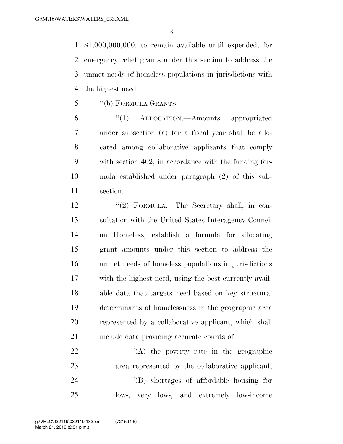\$1,000,000,000, to remain available until expended, for emergency relief grants under this section to address the unmet needs of homeless populations in jurisdictions with the highest need.

''(b) FORMULA GRANTS.—

 ''(1) ALLOCATION.—Amounts appropriated under subsection (a) for a fiscal year shall be allo- cated among collaborative applicants that comply with section 402, in accordance with the funding for- mula established under paragraph (2) of this sub-section.

12 "(2) FORMULA.—The Secretary shall, in con- sultation with the United States Interagency Council on Homeless, establish a formula for allocating grant amounts under this section to address the unmet needs of homeless populations in jurisdictions with the highest need, using the best currently avail- able data that targets need based on key structural determinants of homelessness in the geographic area represented by a collaborative applicant, which shall 21 include data providing accurate counts of—

 $\langle (A)$  the poverty rate in the geographic area represented by the collaborative applicant;  $\langle$ <sup>"</sup>(B) shortages of affordable housing for low-, very low-, and extremely low-income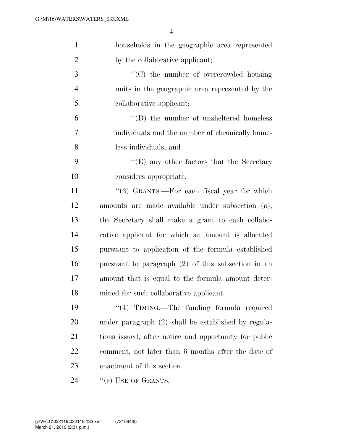| $\mathbf{1}$   | households in the geographic area represented         |
|----------------|-------------------------------------------------------|
| $\overline{2}$ | by the collaborative applicant;                       |
| 3              | "(C) the number of overcrowded housing                |
| $\overline{4}$ | units in the geographic area represented by the       |
| 5              | collaborative applicant;                              |
| 6              | $\lq\lq$ the number of unsheltered homeless           |
| 7              | individuals and the number of chronically home-       |
| 8              | less individuals; and                                 |
| 9              | " $(E)$ any other factors that the Secretary"         |
| 10             | considers appropriate.                                |
| 11             | "(3) GRANTS.—For each fiscal year for which           |
| 12             | amounts are made available under subsection (a),      |
| 13             | the Secretary shall make a grant to each collabo-     |
| 14             | rative applicant for which an amount is allocated     |
| 15             | pursuant to application of the formula established    |
| 16             | pursuant to paragraph $(2)$ of this subsection in an  |
| 17             | amount that is equal to the formula amount deter-     |
| 18             | mined for such collaborative applicant.               |
| 19             | "(4) TIMING.—The funding formula required             |
| 20             | under paragraph (2) shall be established by regula-   |
| 21             | tions issued, after notice and opportunity for public |
| 22             | comment, not later than 6 months after the date of    |
| 23             | enactment of this section.                            |
| 24             | "(c) USE OF GRANTS.—                                  |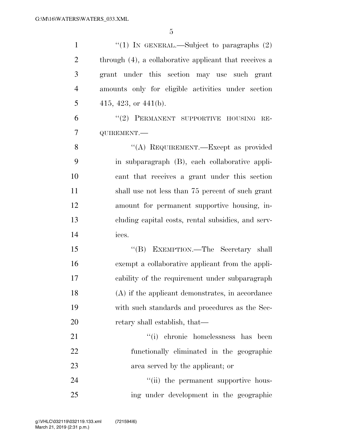| $\mathbf{1}$   | "(1) IN GENERAL.—Subject to paragraphs $(2)$           |
|----------------|--------------------------------------------------------|
| $\overline{2}$ | through (4), a collaborative applicant that receives a |
| 3              | grant under this section may use such grant            |
| $\overline{4}$ | amounts only for eligible activities under section     |
| 5              | 415, 423, or $441(b)$ .                                |
| 6              | "(2) PERMANENT SUPPORTIVE HOUSING RE-                  |
| 7              | QUIREMENT.                                             |
| 8              | "(A) REQUIREMENT.—Except as provided                   |
| 9              | in subparagraph (B), each collaborative appli-         |
| 10             | cant that receives a grant under this section          |
| 11             | shall use not less than 75 percent of such grant       |
| 12             | amount for permanent supportive housing, in-           |
| 13             | cluding capital costs, rental subsidies, and serv-     |
| 14             | ices.                                                  |
| 15             | "(B) EXEMPTION.—The Secretary shall                    |
| 16             | exempt a collaborative applicant from the appli-       |
| 17             | cability of the requirement under subparagraph         |
| 18             | (A) if the applicant demonstrates, in accordance       |
| 19             | with such standards and procedures as the Sec-         |
| 20             | retary shall establish, that—                          |
| 21             | "(i) chronic homelessness has been                     |
| 22             | functionally eliminated in the geographic              |
| 23             | area served by the applicant; or                       |
| 24             | "(ii) the permanent supportive hous-                   |
| 25             | ing under development in the geographic                |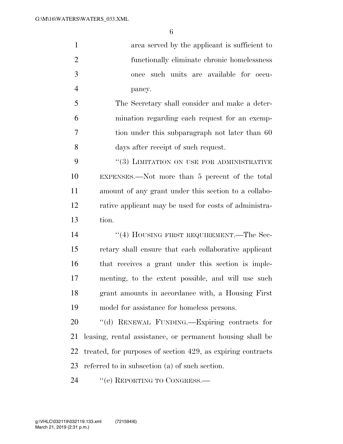area served by the applicant is sufficient to functionally eliminate chronic homelessness once such units are available for occu-pancy.

 The Secretary shall consider and make a deter- mination regarding each request for an exemp- tion under this subparagraph not later than 60 days after receipt of such request.

9 "(3) LIMITATION ON USE FOR ADMINISTRATIVE EXPENSES.—Not more than 5 percent of the total amount of any grant under this section to a collabo- rative applicant may be used for costs of administra-tion.

14 ''(4) HOUSING FIRST REQUIREMENT.—The Sec- retary shall ensure that each collaborative applicant that receives a grant under this section is imple- menting, to the extent possible, and will use such grant amounts in accordance with, a Housing First model for assistance for homeless persons.

 ''(d) RENEWAL FUNDING.—Expiring contracts for leasing, rental assistance, or permanent housing shall be treated, for purposes of section 429, as expiring contracts referred to in subsection (a) of such section.

24 "(e) REPORTING TO CONGRESS.—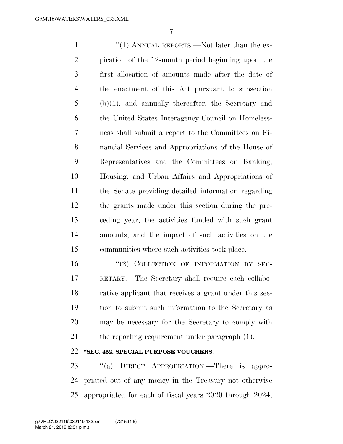1 ''(1) ANNUAL REPORTS.—Not later than the ex- piration of the 12-month period beginning upon the first allocation of amounts made after the date of the enactment of this Act pursuant to subsection (b)(1), and annually thereafter, the Secretary and the United States Interagency Council on Homeless- ness shall submit a report to the Committees on Fi- nancial Services and Appropriations of the House of Representatives and the Committees on Banking, Housing, and Urban Affairs and Appropriations of the Senate providing detailed information regarding the grants made under this section during the pre- ceding year, the activities funded with such grant amounts, and the impact of such activities on the communities where such activities took place.

16 "(2) COLLECTION OF INFORMATION BY SEC- RETARY.—The Secretary shall require each collabo- rative applicant that receives a grant under this sec- tion to submit such information to the Secretary as may be necessary for the Secretary to comply with 21 the reporting requirement under paragraph (1).

#### **''SEC. 452. SPECIAL PURPOSE VOUCHERS.**

23 "(a) DIRECT APPROPRIATION.—There is appro- priated out of any money in the Treasury not otherwise appropriated for each of fiscal years 2020 through 2024,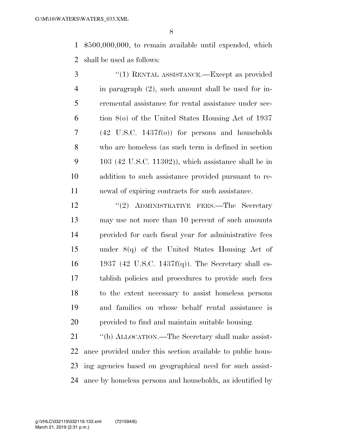\$500,000,000, to remain available until expended, which shall be used as follows:

| 3              | $\cdot$ (1) RENTAL ASSISTANCE.—Except as provided          |
|----------------|------------------------------------------------------------|
| $\overline{4}$ | in paragraph (2), such amount shall be used for in-        |
| 5              | eremental assistance for rental assistance under sec-      |
| 6              | tion $8$ (o) of the United States Housing Act of 1937      |
| 7              | $(42 \text{ U.S.C. } 1437f(0))$ for persons and households |
| 8              | who are homeless (as such term is defined in section       |
| 9              | $103$ (42 U.S.C. 11302)), which assistance shall be in     |
| 10             | addition to such assistance provided pursuant to re-       |
| 11             | newal of expiring contracts for such assistance.           |

12 "(2) ADMINISTRATIVE FEES.—The Secretary may use not more than 10 percent of such amounts provided for each fiscal year for administrative fees under 8(q) of the United States Housing Act of 1937 (42 U.S.C. 1437f(q)). The Secretary shall es- tablish policies and procedures to provide such fees to the extent necessary to assist homeless persons and families on whose behalf rental assistance is provided to find and maintain suitable housing.

21 "(b) ALLOCATION.—The Secretary shall make assist- ance provided under this section available to public hous- ing agencies based on geographical need for such assist-ance by homeless persons and households, as identified by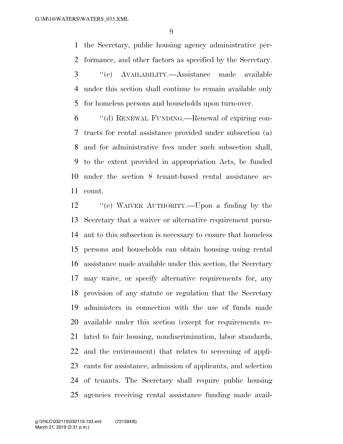the Secretary, public housing agency administrative per-formance, and other factors as specified by the Secretary.

- ''(c) AVAILABILITY.—Assistance made available under this section shall continue to remain available only for homeless persons and households upon turn-over.
- ''(d) RENEWAL FUNDING.—Renewal of expiring con- tracts for rental assistance provided under subsection (a) and for administrative fees under such subsection shall, to the extent provided in appropriation Acts, be funded under the section 8 tenant-based rental assistance ac-count.

 ''(e) WAIVER AUTHORITY.—Upon a finding by the Secretary that a waiver or alternative requirement pursu- ant to this subsection is necessary to ensure that homeless persons and households can obtain housing using rental assistance made available under this section, the Secretary may waive, or specify alternative requirements for, any provision of any statute or regulation that the Secretary administers in connection with the use of funds made available under this section (except for requirements re- lated to fair housing, nondiscrimination, labor standards, and the environment) that relates to screening of appli- cants for assistance, admission of applicants, and selection of tenants. The Secretary shall require public housing agencies receiving rental assistance funding made avail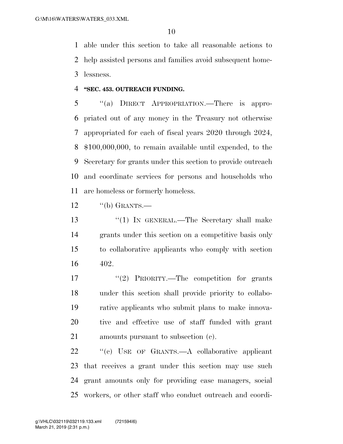able under this section to take all reasonable actions to help assisted persons and families avoid subsequent home-lessness.

#### **''SEC. 453. OUTREACH FUNDING.**

 ''(a) DIRECT APPROPRIATION.—There is appro- priated out of any money in the Treasury not otherwise appropriated for each of fiscal years 2020 through 2024, \$100,000,000, to remain available until expended, to the Secretary for grants under this section to provide outreach and coordinate services for persons and households who are homeless or formerly homeless.

''(b) GRANTS.—

 ''(1) IN GENERAL.—The Secretary shall make grants under this section on a competitive basis only to collaborative applicants who comply with section 402.

 $\frac{17}{2}$  PRIORITY.—The competition for grants under this section shall provide priority to collabo- rative applicants who submit plans to make innova- tive and effective use of staff funded with grant amounts pursuant to subsection (c).

 ''(c) USE OF GRANTS.—A collaborative applicant that receives a grant under this section may use such grant amounts only for providing case managers, social workers, or other staff who conduct outreach and coordi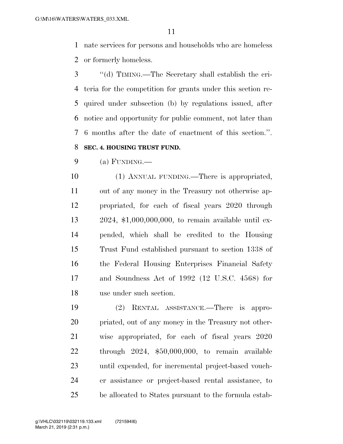nate services for persons and households who are homeless or formerly homeless.

 ''(d) TIMING.—The Secretary shall establish the cri- teria for the competition for grants under this section re- quired under subsection (b) by regulations issued, after notice and opportunity for public comment, not later than 6 months after the date of enactment of this section.''. **SEC. 4. HOUSING TRUST FUND.** 

 $9 \qquad \qquad (a) \text{ FUNDING.}$ 

 (1) ANNUAL FUNDING.—There is appropriated, out of any money in the Treasury not otherwise ap- propriated, for each of fiscal years 2020 through 2024, \$1,000,000,000, to remain available until ex- pended, which shall be credited to the Housing Trust Fund established pursuant to section 1338 of the Federal Housing Enterprises Financial Safety and Soundness Act of 1992 (12 U.S.C. 4568) for use under such section.

 (2) RENTAL ASSISTANCE.—There is appro- priated, out of any money in the Treasury not other- wise appropriated, for each of fiscal years 2020 through 2024, \$50,000,000, to remain available until expended, for incremental project-based vouch- er assistance or project-based rental assistance, to be allocated to States pursuant to the formula estab-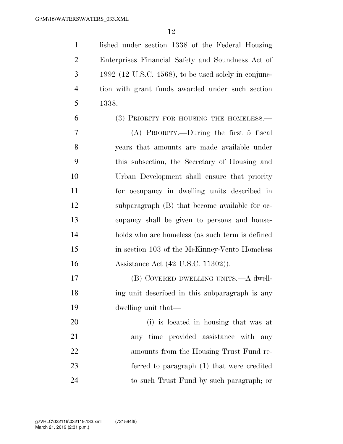1 lished under section 1338 of the Federal Housing Enterprises Financial Safety and Soundness Act of 1992 (12 U.S.C. 4568), to be used solely in conjunc- tion with grant funds awarded under such section 1338.

(3) PRIORITY FOR HOUSING THE HOMELESS.—

 (A) PRIORITY.—During the first 5 fiscal years that amounts are made available under this subsection, the Secretary of Housing and Urban Development shall ensure that priority for occupancy in dwelling units described in subparagraph (B) that become available for oc- cupancy shall be given to persons and house- holds who are homeless (as such term is defined in section 103 of the McKinney-Vento Homeless Assistance Act (42 U.S.C. 11302)).

 (B) COVERED DWELLING UNITS.—A dwell- ing unit described in this subparagraph is any dwelling unit that—

 (i) is located in housing that was at any time provided assistance with any amounts from the Housing Trust Fund re- ferred to paragraph (1) that were credited to such Trust Fund by such paragraph; or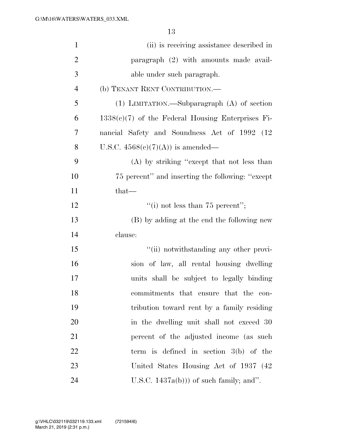| $\mathbf{1}$   | (ii) is receiving assistance described in           |
|----------------|-----------------------------------------------------|
| $\overline{2}$ | paragraph (2) with amounts made avail-              |
| 3              | able under such paragraph.                          |
| $\overline{4}$ | (b) TENANT RENT CONTRIBUTION.-                      |
| 5              | $(1)$ LIMITATION.—Subparagraph $(A)$ of section     |
| 6              | $1338(e)(7)$ of the Federal Housing Enterprises Fi- |
| 7              | nancial Safety and Soundness Act of 1992 (12)       |
| 8              | U.S.C. $4568(e)(7)(A)$ is amended—                  |
| 9              | (A) by striking "except that not less than          |
| 10             | 75 percent" and inserting the following: "except"   |
| 11             | $that-$                                             |
| 12             | "(i) not less than $75$ percent";                   |
| 13             | (B) by adding at the end the following new          |
| 14             | clause:                                             |
| 15             | "(ii) notwithstanding any other provi-              |
| 16             | sion of law, all rental housing dwelling            |
| 17             | units shall be subject to legally binding           |
| 18             | commitments that ensure that the con-               |
| 19             | tribution toward rent by a family residing          |
| 20             | in the dwelling unit shall not exceed 30            |
| 21             | percent of the adjusted income (as such             |
| 22             | term is defined in section $3(b)$ of the            |
| 23             | United States Housing Act of 1937 (42)              |
| 24             | U.S.C. $1437a(b))$ of such family; and".            |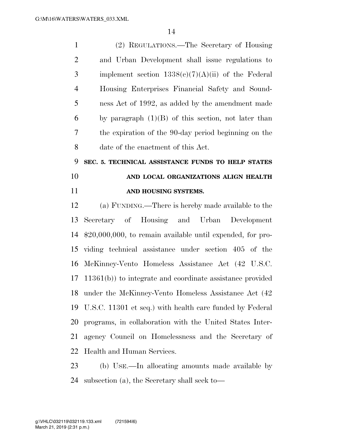| $\mathbf{1}$   | (2) REGULATIONS.—The Secretary of Housing                    |
|----------------|--------------------------------------------------------------|
| $\overline{2}$ | and Urban Development shall issue regulations to             |
| 3              | implement section $1338(c)(7)(A)(ii)$ of the Federal         |
| $\overline{4}$ | Housing Enterprises Financial Safety and Sound-              |
| 5              | ness Act of 1992, as added by the amendment made             |
| 6              | by paragraph $(1)(B)$ of this section, not later than        |
| 7              | the expiration of the 90-day period beginning on the         |
| 8              | date of the enactment of this Act.                           |
| 9              | SEC. 5. TECHNICAL ASSISTANCE FUNDS TO HELP STATES            |
| 10             | AND LOCAL ORGANIZATIONS ALIGN HEALTH                         |
| 11             | AND HOUSING SYSTEMS.                                         |
| 12             | (a) FUNDING.—There is hereby made available to the           |
| 13             | Secretary of Housing and Urban Development                   |
| 14             | $$20,000,000$ , to remain available until expended, for pro- |
| 15             | viding technical assistance under section 405 of the         |
| 16             | McKinney-Vento Homeless Assistance Act (42 U.S.C.            |
| 17             | $11361(b)$ to integrate and coordinate assistance provided   |
|                | 18 under the McKinney-Vento Homeless Assistance Act (42)     |
| 19             | U.S.C. 11301 et seq.) with health care funded by Federal     |
| 20             | programs, in collaboration with the United States Inter-     |
| 21             | agency Council on Homelessness and the Secretary of          |
|                | 22 Health and Human Services.                                |
|                |                                                              |

 (b) USE.—In allocating amounts made available by subsection (a), the Secretary shall seek to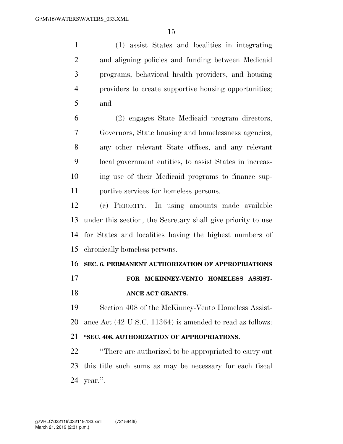(1) assist States and localities in integrating and aligning policies and funding between Medicaid programs, behavioral health providers, and housing providers to create supportive housing opportunities; and

 (2) engages State Medicaid program directors, Governors, State housing and homelessness agencies, any other relevant State offices, and any relevant local government entities, to assist States in increas- ing use of their Medicaid programs to finance sup-portive services for homeless persons.

 (c) PRIORITY.—In using amounts made available under this section, the Secretary shall give priority to use for States and localities having the highest numbers of chronically homeless persons.

#### **SEC. 6. PERMANENT AUTHORIZATION OF APPROPRIATIONS**

# **FOR MCKINNEY-VENTO HOMELESS ASSIST-**

# **ANCE ACT GRANTS.**

 Section 408 of the McKinney-Vento Homeless Assist-ance Act (42 U.S.C. 11364) is amended to read as follows:

## **''SEC. 408. AUTHORIZATION OF APPROPRIATIONS.**

 ''There are authorized to be appropriated to carry out this title such sums as may be necessary for each fiscal year.''.